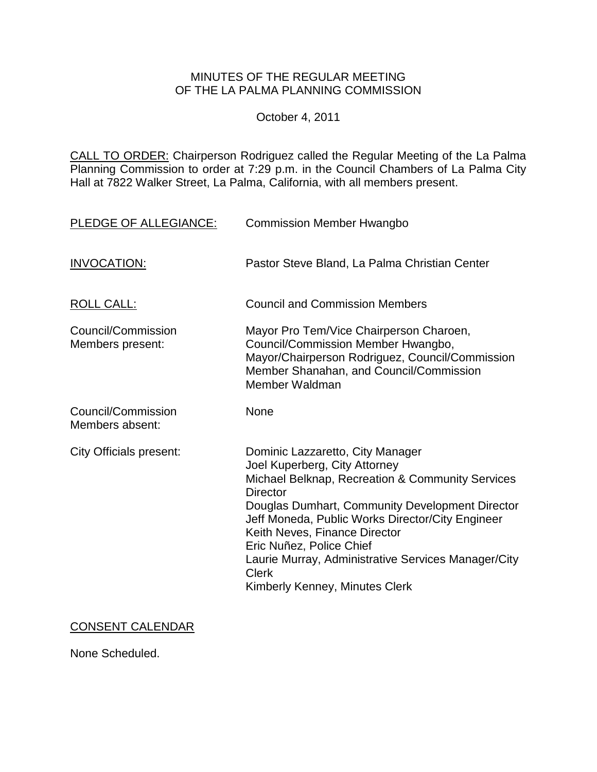# MINUTES OF THE REGULAR MEETING OF THE LA PALMA PLANNING COMMISSION

October 4, 2011

CALL TO ORDER: Chairperson Rodriguez called the Regular Meeting of the La Palma Planning Commission to order at 7:29 [p.m. in the Council Chambers of La Palma City](http://lapalma.granicus.com/MediaPlayerFrameHandler.php?view_id=&clip_id=616&meta_id=78641)  [Hall at 7822 Walker Street, La Palma, California, with all members present.](http://lapalma.granicus.com/MediaPlayerFrameHandler.php?view_id=&clip_id=616&meta_id=78641) 

| PLEDGE OF ALLEGIANCE:                  | <b>Commission Member Hwangbo</b>                                                                                                                                                                                                                                                                                                                                                                                      |
|----------------------------------------|-----------------------------------------------------------------------------------------------------------------------------------------------------------------------------------------------------------------------------------------------------------------------------------------------------------------------------------------------------------------------------------------------------------------------|
| <b>INVOCATION:</b>                     | Pastor Steve Bland, La Palma Christian Center                                                                                                                                                                                                                                                                                                                                                                         |
| <b>ROLL CALL:</b>                      | <b>Council and Commission Members</b>                                                                                                                                                                                                                                                                                                                                                                                 |
| Council/Commission<br>Members present: | Mayor Pro Tem/Vice Chairperson Charoen,<br>Council/Commission Member Hwangbo,<br>Mayor/Chairperson Rodriguez, Council/Commission<br>Member Shanahan, and Council/Commission<br>Member Waldman                                                                                                                                                                                                                         |
| Council/Commission<br>Members absent:  | None                                                                                                                                                                                                                                                                                                                                                                                                                  |
| <b>City Officials present:</b>         | Dominic Lazzaretto, City Manager<br>Joel Kuperberg, City Attorney<br>Michael Belknap, Recreation & Community Services<br><b>Director</b><br>Douglas Dumhart, Community Development Director<br>Jeff Moneda, Public Works Director/City Engineer<br>Keith Neves, Finance Director<br>Eric Nuñez, Police Chief<br>Laurie Murray, Administrative Services Manager/City<br><b>Clerk</b><br>Kimberly Kenney, Minutes Clerk |

## CONSENT CALENDAR

None Scheduled.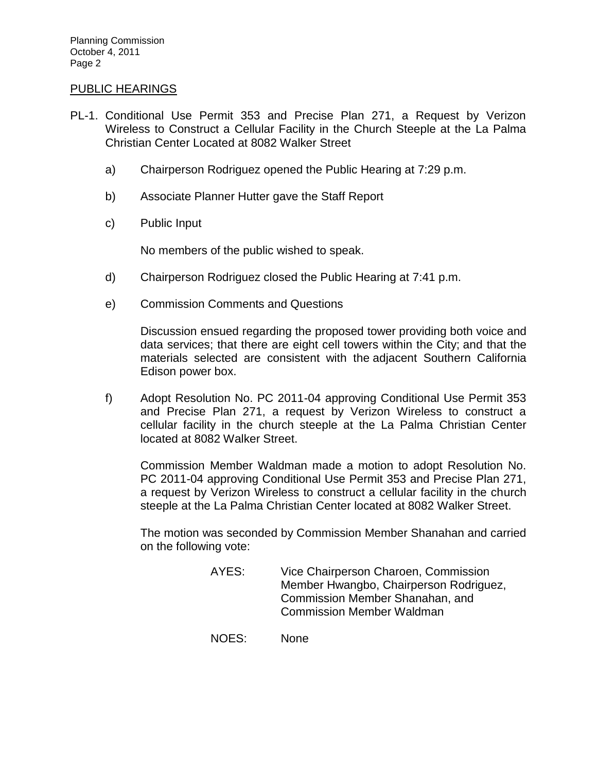### [PUBLIC HEARINGS](http://lapalma.granicus.com/MediaPlayerFrameHandler.php?view_id=&clip_id=616&meta_id=78663)

- PL-1. [Conditional Use Permit 353 and Precise Plan 271, a Request by Verizon](http://lapalma.granicus.com/MediaPlayerFrameHandler.php?view_id=&clip_id=616&meta_id=78664)  [Wireless to Construct a Cellular Facility in the Church Steeple at the La Palma](http://lapalma.granicus.com/MediaPlayerFrameHandler.php?view_id=&clip_id=616&meta_id=78664)  [Christian Center Located at 8082 Walker Street](http://lapalma.granicus.com/MediaPlayerFrameHandler.php?view_id=&clip_id=616&meta_id=78664) 
	- a) [Chairperson Rodriguez opened the Public Hearing at 7:29 p.m.](http://lapalma.granicus.com/MediaPlayerFrameHandler.php?view_id=&clip_id=616&meta_id=78665)
	- b) [Associate Planner Hutter gave the Staff Report](http://lapalma.granicus.com/MediaPlayerFrameHandler.php?view_id=&clip_id=616&meta_id=78666)
	- c) [Public Input](http://lapalma.granicus.com/MediaPlayerFrameHandler.php?view_id=&clip_id=616&meta_id=78667)

No members of the public wished to speak.

- d) [Chairperson Rodriguez closed the Public Hearing at 7:41 p.m.](http://lapalma.granicus.com/MediaPlayerFrameHandler.php?view_id=&clip_id=616&meta_id=78668)
- e) [Commission Comments and Questions](http://lapalma.granicus.com/MediaPlayerFrameHandler.php?view_id=&clip_id=616&meta_id=78669)

Discussion ensued regarding the proposed tower providing both voice and data services; that there are eight cell towers within the City; and that the materials selected are consistent with the adjacent Southern California Edison power box.

f) Adopt Resolution No. PC 2011-04 approving Conditional Use Permit 353 and Precise Plan 271, a request by Verizon Wireless to construct a cellular facility in the church steeple at the La Palma Christian Center located at 8082 Walker Street.

Commission Member Waldman made a motion to adopt Resolution No. PC 2011-04 approving Conditional Use Permit 353 and Precise Plan 271, a request by Verizon Wireless to construct a cellular facility in the church steeple at the La Palma Christian Center located at 8082 Walker Street.

The motion was seconded by Commission Member Shanahan and carried on the following vote:

- AYES: Vice Chairperson Charoen, Commission Member Hwangbo, Chairperson Rodriguez, Commission Member Shanahan, and Commission Member Waldman
- NOES: None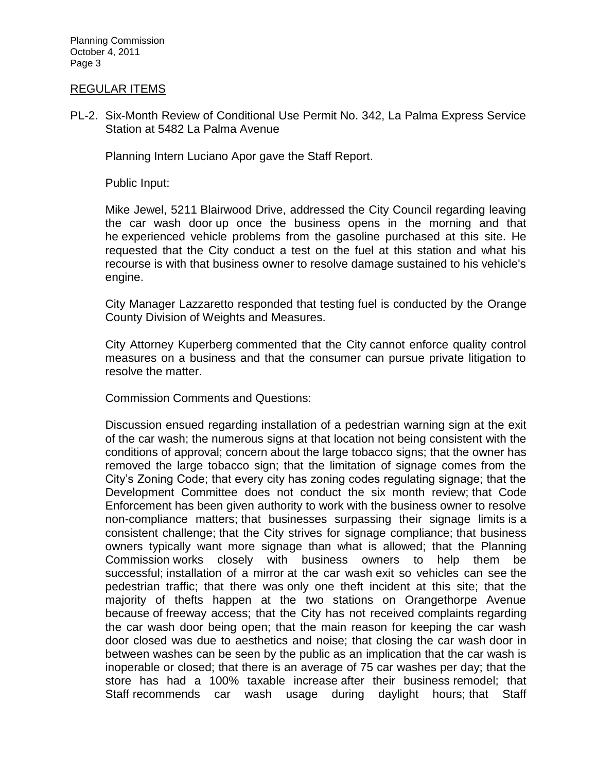Planning Commission October 4, 2011 Page 3

#### [REGULAR ITEMS](http://lapalma.granicus.com/MediaPlayerFrameHandler.php?view_id=&clip_id=616&meta_id=78673)

PL-2. [Six-Month Review of Conditional Use Permit No. 342, La Palma Express Service](http://lapalma.granicus.com/MediaPlayerFrameHandler.php?view_id=&clip_id=616&meta_id=78674)  [Station at 5482 La Palma Avenue](http://lapalma.granicus.com/MediaPlayerFrameHandler.php?view_id=&clip_id=616&meta_id=78674) 

Planning Intern Luciano Apor gave the Staff Report.

Public Input:

Mike Jewel, 5211 Blairwood Drive, addressed the City Council regarding leaving the car wash door up once the business opens in the morning and that he experienced vehicle problems from the gasoline purchased at this site. He requested that the City conduct a test on the fuel at this station and what his recourse is with that business owner to resolve damage sustained to his vehicle's engine.

City Manager Lazzaretto responded that testing fuel is conducted by the Orange County Division of Weights and Measures.

City Attorney Kuperberg commented that the City cannot enforce quality control measures on a business and that the consumer can pursue private litigation to resolve the matter.

Commission Comments and Questions:

Discussion ensued regarding installation of a pedestrian warning sign at the exit of the car wash; the numerous signs at that location not being consistent with the conditions of approval; concern about the large tobacco signs; that the owner has removed the large tobacco sign; that the limitation of signage comes from the City's Zoning Code; that every city has zoning codes regulating signage; that the Development Committee does not conduct the six month review; that Code Enforcement has been given authority to work with the business owner to resolve non-compliance matters; that businesses surpassing their signage limits is a consistent challenge; that the City strives for signage compliance; that business owners typically want more signage than what is allowed; that the Planning Commission works closely with business owners to help them be successful; installation of a mirror at the car wash exit so vehicles can see the pedestrian traffic; that there was only one theft incident at this site; that the majority of thefts happen at the two stations on Orangethorpe Avenue because of freeway access; that the City has not received complaints regarding the car wash door being open; that the main reason for keeping the car wash door closed was due to aesthetics and noise; that closing the car wash door in between washes can be seen by the public as an implication that the car wash is inoperable or closed; that there is an average of 75 car washes per day; that the store has had a 100% taxable increase after their business remodel; that Staff recommends car wash usage during daylight hours; that Staff